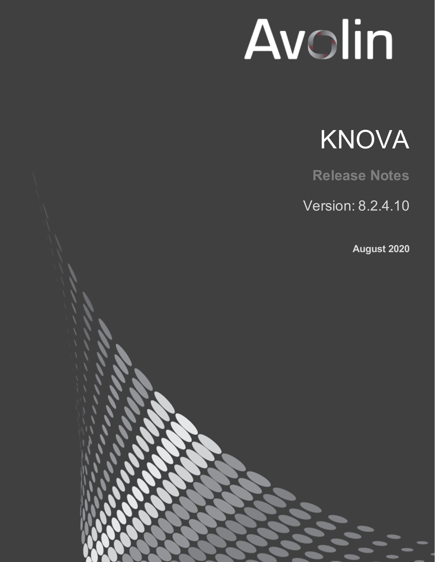# Avolin



**Release Notes**

Version: 8.2.4.10

**August 2020**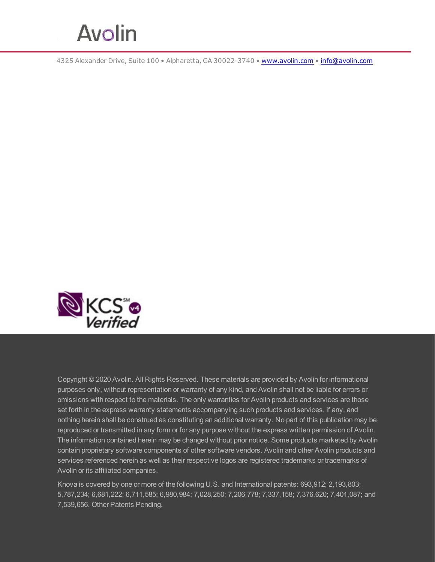

4325 Alexander Drive, Suite 100 • Alpharetta, GA 30022-3740 • [www.avolin.com](http://www.avolin.com/) • [info@avolin.com](mailto:info@avolin.com)



Copyright © 2020 Avolin. All Rights Reserved. These materials are provided by Avolin for informational purposes only, without representation or warranty of any kind, and Avolin shall not be liable for errors or omissions with respect to the materials. The only warranties for Avolin products and services are those set forth in the express warranty statements accompanying such products and services, if any, and nothing herein shall be construed as constituting an additional warranty. No part of this publication may be reproduced or transmitted in any form or for any purpose without the express written permission of Avolin. The information contained herein may be changed without prior notice. Some products marketed by Avolin contain proprietary software components of other software vendors. Avolin and other Avolin products and services referenced herein as well as their respective logos are registered trademarks or trademarks of Avolin or its affiliated companies.

Knova is covered by one or more of the following U.S. and International patents: 693,912; 2,193,803; 5,787,234; 6,681,222; 6,711,585; 6,980,984; 7,028,250; 7,206,778; 7,337,158; 7,376,620; 7,401,087; and 7,539,656. Other Patents Pending.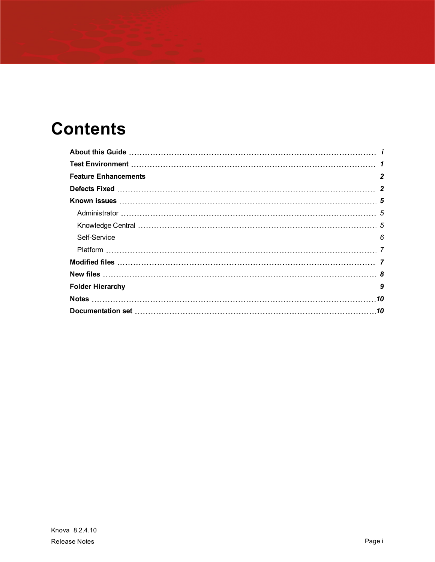# **Contents**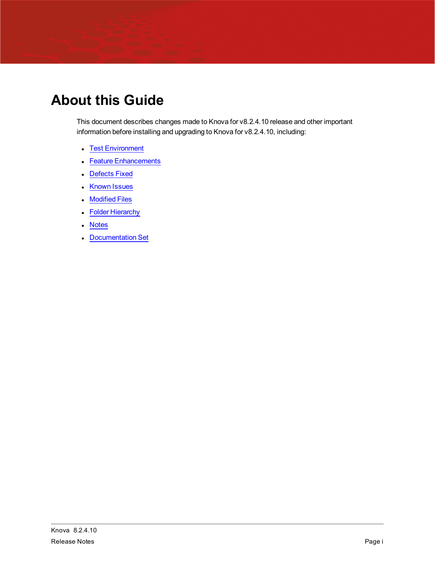# <span id="page-3-0"></span>**About this Guide**

This document describes changes made to Knova for v8.2.4.10 release and other important information before installing and upgrading to Knova for v8.2.4.10, including:

- Test [Environment](#page-4-0)
- Feature [Enhancements](#page-5-0)
- [Defects](#page-5-1) Fixed
- [Known](#page-8-0) Issues
- [Modified](#page-10-1) Files
- Folder [Hierarchy](#page-12-0)
- [Notes](#page-13-0)
- [Documentation](#page-13-1) Set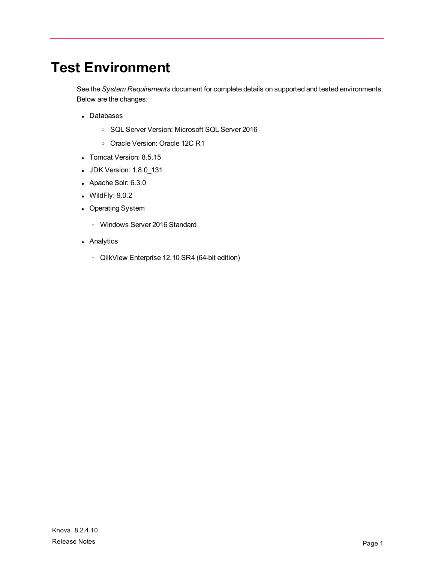# <span id="page-4-0"></span>**Test Environment**

See the *System Requirements* document for complete details on supported and tested environments. Below are the changes:

- Databases
	- <sup>o</sup> SQL Server Version: Microsoft SQL Server 2016
	- <sup>o</sup> Oracle Version: Oracle 12C R1
- Tomcat Version: 8.5.15
- JDK Version: 1.8.0\_131
- Apache Solr: 6.3.0
- $\bullet$  WildFly:  $9.0.2$
- Operating System
	- <sup>o</sup> Windows Server 2016 Standard
- Analytics
	- <sup>o</sup> QlikView Enterprise 12.10 SR4 (64-bit edition)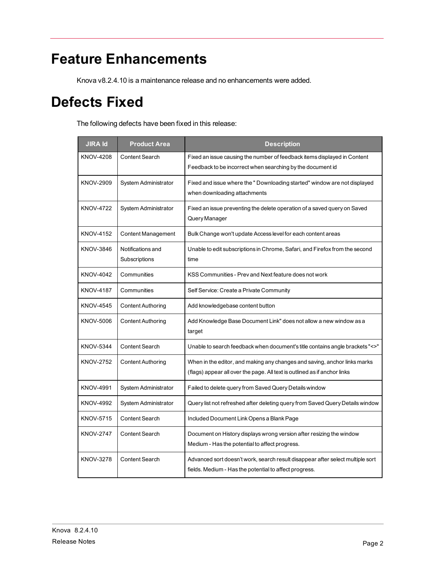# <span id="page-5-0"></span>**Feature Enhancements**

Knova v8.2.4.10 is a maintenance release and no enhancements were added.

# <span id="page-5-1"></span>**Defects Fixed**

The following defects have been fixed in this release:

| <b>JIRA Id</b>   | <b>Product Area</b>                | <b>Description</b>                                                                                                                                     |
|------------------|------------------------------------|--------------------------------------------------------------------------------------------------------------------------------------------------------|
| <b>KNOV-4208</b> | <b>Content Search</b>              | Fixed an issue causing the number of feedback items displayed in Content<br>Feedback to be incorrect when searching by the document id                 |
| KNOV-2909        | System Administrator               | Fixed and issue where the " Downloading started" window are not displayed<br>when downloading attachments                                              |
| <b>KNOV-4722</b> | System Administrator               | Fixed an issue preventing the delete operation of a saved query on Saved<br>Query Manager                                                              |
| <b>KNOV-4152</b> | Content Management                 | Bulk Change won't update Access level for each content areas                                                                                           |
| KNOV-3846        | Notifications and<br>Subscriptions | Unable to edit subscriptions in Chrome, Safari, and Firefox from the second<br>time                                                                    |
| KNOV-4042        | Communities                        | KSS Communities - Prev and Next feature does not work                                                                                                  |
| <b>KNOV-4187</b> | Communities                        | Self Service: Create a Private Community                                                                                                               |
| KNOV-4545        | <b>Content Authoring</b>           | Add knowledgebase content button                                                                                                                       |
| KNOV-5006        | <b>Content Authoring</b>           | Add Knowledge Base Document Link" does not allow a new window as a<br>target                                                                           |
| <b>KNOV-5344</b> | <b>Content Search</b>              | Unable to search feedback when document's title contains angle brackets "<>"                                                                           |
| KNOV-2752        | <b>Content Authoring</b>           | When in the editor, and making any changes and saving, anchor links marks<br>(flags) appear all over the page. All text is outlined as if anchor links |
| KNOV-4991        | System Administrator               | Failed to delete query from Saved Query Details window                                                                                                 |
| <b>KNOV-4992</b> | System Administrator               | Query list not refreshed after deleting query from Saved Query Details window                                                                          |
| <b>KNOV-5715</b> | <b>Content Search</b>              | Included Document Link Opens a Blank Page                                                                                                              |
| <b>KNOV-2747</b> | <b>Content Search</b>              | Document on History displays wrong version after resizing the window<br>Medium - Has the potential to affect progress.                                 |
| <b>KNOV-3278</b> | Content Search                     | Advanced sort doesn't work, search result disappear after select multiple sort<br>fields. Medium - Has the potential to affect progress.               |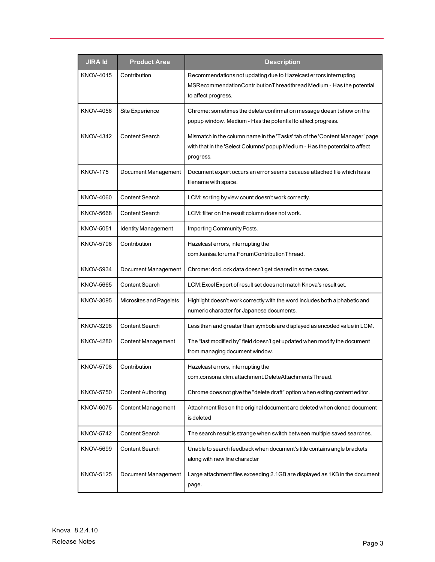| <b>JIRA Id</b>   | <b>Product Area</b>        | <b>Description</b>                                                                                                                                                        |
|------------------|----------------------------|---------------------------------------------------------------------------------------------------------------------------------------------------------------------------|
| KNOV-4015        | Contribution               | Recommendations not updating due to Hazelcast errors interrupting<br>MSRecommendationContributionThreadthread Medium - Has the potential<br>to affect progress.           |
| KNOV-4056        | Site Experience            | Chrome: sometimes the delete confirmation message doesn't show on the<br>popup window. Medium - Has the potential to affect progress.                                     |
| <b>KNOV-4342</b> | <b>Content Search</b>      | Mismatch in the column name in the 'Tasks' tab of the 'Content Manager' page<br>with that in the 'Select Columns' popup Medium - Has the potential to affect<br>progress. |
| <b>KNOV-175</b>  | Document Management        | Document export occurs an error seems because attached file which has a<br>filename with space.                                                                           |
| KNOV-4060        | Content Search             | LCM: sorting by view count doesn't work correctly.                                                                                                                        |
| KNOV-5668        | <b>Content Search</b>      | LCM: filter on the result column does not work.                                                                                                                           |
| KNOV-5051        | <b>Identity Management</b> | Importing Community Posts.                                                                                                                                                |
| KNOV-5706        | Contribution               | Hazelcast errors, interrupting the<br>com.kanisa.forums.ForumContributionThread.                                                                                          |
| <b>KNOV-5934</b> | Document Management        | Chrome: docLock data doesn't get cleared in some cases.                                                                                                                   |
| KNOV-5665        | Content Search             | LCM: Excel Export of result set does not match Knova's result set.                                                                                                        |
| KNOV-3095        | Microsites and Pagelets    | Highlight doesn't work correctly with the word includes both alphabetic and<br>numeric character for Japanese documents.                                                  |
| KNOV-3298        | Content Search             | Less than and greater than symbols are displayed as encoded value in LCM.                                                                                                 |
| KNOV-4280        | <b>Content Management</b>  | The "last modified by" field doesn't get updated when modify the document<br>from managing document window.                                                               |
| KNOV-5708        | Contribution               | Hazelcast errors, interrupting the<br>com.consona.ckm.attachment.DeleteAttachmentsThread.                                                                                 |
| KNOV-5750        | <b>Content Authoring</b>   | Chrome does not give the "delete draft" option when exiting content editor.                                                                                               |
| KNOV-6075        | <b>Content Management</b>  | Attachment files on the original document are deleted when cloned document<br>is deleted                                                                                  |
| KNOV-5742        | Content Search             | The search result is strange when switch between multiple saved searches.                                                                                                 |
| KNOV-5699        | Content Search             | Unable to search feedback when document's title contains angle brackets<br>along with new line character                                                                  |
| KNOV-5125        | Document Management        | Large attachment files exceeding 2.1GB are displayed as 1KB in the document<br>page.                                                                                      |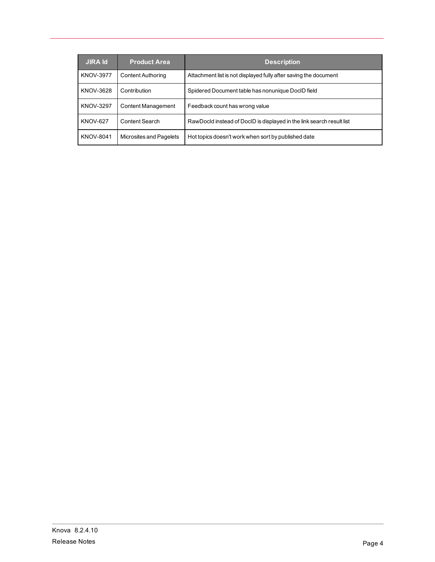| <b>JIRA Id</b>   | <b>Product Area</b>       | <b>Description</b>                                                    |
|------------------|---------------------------|-----------------------------------------------------------------------|
| <b>KNOV-3977</b> | <b>Content Authoring</b>  | Attachment list is not displayed fully after saving the document      |
| <b>KNOV-3628</b> | Contribution              | Spidered Document table has nonunique DocID field                     |
| <b>KNOV-3297</b> | <b>Content Management</b> | Feedback count has wrong value                                        |
| <b>KNOV-627</b>  | Content Search            | RawDocld instead of DoclD is displayed in the link search result list |
| <b>KNOV-8041</b> | Microsites and Pagelets   | Hot topics doesn't work when sort by published date                   |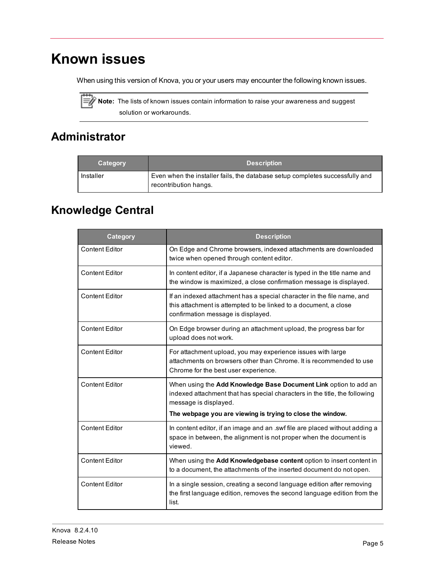# <span id="page-8-0"></span>**Known issues**

When using this version of Knova, you or your users may encounter the following known issues.



Note: The lists of known issues contain information to raise your awareness and suggest solution or workarounds.

## <span id="page-8-1"></span>**Administrator**

| Category  | <b>Description</b>                                                                                    |
|-----------|-------------------------------------------------------------------------------------------------------|
| Installer | Even when the installer fails, the database setup completes successfully and<br>recontribution hangs. |

## <span id="page-8-2"></span>**Knowledge Central**

| Category              | <b>Description</b>                                                                                                                                                                                                                    |
|-----------------------|---------------------------------------------------------------------------------------------------------------------------------------------------------------------------------------------------------------------------------------|
| <b>Content Editor</b> | On Edge and Chrome browsers, indexed attachments are downloaded<br>twice when opened through content editor.                                                                                                                          |
| <b>Content Editor</b> | In content editor, if a Japanese character is typed in the title name and<br>the window is maximized, a close confirmation message is displayed.                                                                                      |
| <b>Content Editor</b> | If an indexed attachment has a special character in the file name, and<br>this attachment is attempted to be linked to a document, a close<br>confirmation message is displayed.                                                      |
| <b>Content Editor</b> | On Edge browser during an attachment upload, the progress bar for<br>upload does not work.                                                                                                                                            |
| <b>Content Editor</b> | For attachment upload, you may experience issues with large<br>attachments on browsers other than Chrome. It is recommended to use<br>Chrome for the best user experience.                                                            |
| <b>Content Editor</b> | When using the Add Knowledge Base Document Link option to add an<br>indexed attachment that has special characters in the title, the following<br>message is displayed.<br>The webpage you are viewing is trying to close the window. |
| <b>Content Editor</b> | In content editor, if an image and an .swf file are placed without adding a<br>space in between, the alignment is not proper when the document is<br>viewed.                                                                          |
| <b>Content Editor</b> | When using the Add Knowledgebase content option to insert content in<br>to a document, the attachments of the inserted document do not open.                                                                                          |
| <b>Content Editor</b> | In a single session, creating a second language edition after removing<br>the first language edition, removes the second language edition from the<br>list.                                                                           |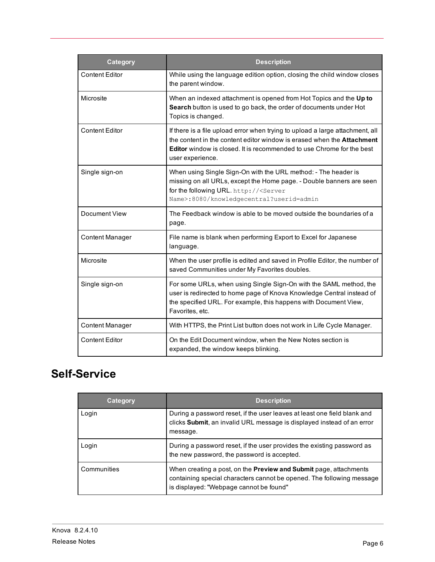| <b>Category</b>        | <b>Description</b>                                                                                                                                                                                                                                                 |
|------------------------|--------------------------------------------------------------------------------------------------------------------------------------------------------------------------------------------------------------------------------------------------------------------|
| <b>Content Editor</b>  | While using the language edition option, closing the child window closes<br>the parent window.                                                                                                                                                                     |
| Microsite              | When an indexed attachment is opened from Hot Topics and the Up to<br>Search button is used to go back, the order of documents under Hot<br>Topics is changed.                                                                                                     |
| <b>Content Editor</b>  | If there is a file upload error when trying to upload a large attachment, all<br>the content in the content editor window is erased when the <b>Attachment</b><br><b>Editor</b> window is closed. It is recommended to use Chrome for the best<br>user experience. |
| Single sign-on         | When using Single Sign-On with the URL method: - The header is<br>missing on all URLs, except the Home page. - Double banners are seen<br>for the following URL. http:// <server<br>Name&gt;:8080/knowledgecentral?userid=admin</server<br>                        |
| <b>Document View</b>   | The Feedback window is able to be moved outside the boundaries of a<br>page.                                                                                                                                                                                       |
| <b>Content Manager</b> | File name is blank when performing Export to Excel for Japanese<br>language.                                                                                                                                                                                       |
| Microsite              | When the user profile is edited and saved in Profile Editor, the number of<br>saved Communities under My Favorites doubles.                                                                                                                                        |
| Single sign-on         | For some URLs, when using Single Sign-On with the SAML method, the<br>user is redirected to home page of Knova Knowledge Central instead of<br>the specified URL. For example, this happens with Document View,<br>Favorites, etc.                                 |
| <b>Content Manager</b> | With HTTPS, the Print List button does not work in Life Cycle Manager.                                                                                                                                                                                             |
| <b>Content Editor</b>  | On the Edit Document window, when the New Notes section is<br>expanded, the window keeps blinking.                                                                                                                                                                 |

## <span id="page-9-0"></span>**Self-Service**

| Category    | <b>Description</b>                                                                                                                                                                    |
|-------------|---------------------------------------------------------------------------------------------------------------------------------------------------------------------------------------|
| Login       | During a password reset, if the user leaves at least one field blank and<br>clicks Submit, an invalid URL message is displayed instead of an error<br>message.                        |
| Login       | During a password reset, if the user provides the existing password as<br>the new password, the password is accepted.                                                                 |
| Communities | When creating a post, on the Preview and Submit page, attachments<br>containing special characters cannot be opened. The following message<br>is displayed: "Webpage cannot be found" |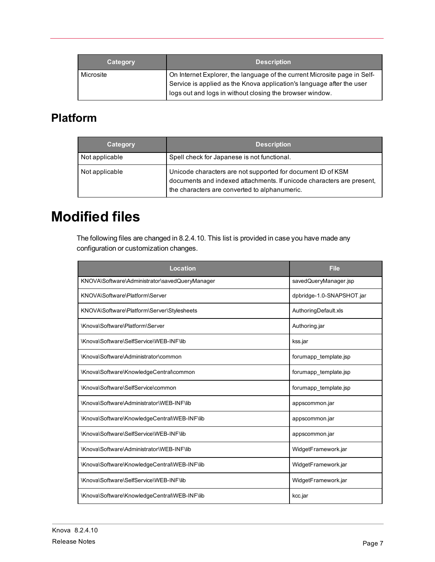| Category  | <b>Description</b>                                                                                                                                                                                             |
|-----------|----------------------------------------------------------------------------------------------------------------------------------------------------------------------------------------------------------------|
| Microsite | On Internet Explorer, the language of the current Microsite page in Self-<br>Service is applied as the Knova application's language after the user<br>logs out and logs in without closing the browser window. |

### <span id="page-10-0"></span>**Platform**

| Category       | <b>Description</b>                                                                                                                                                                    |
|----------------|---------------------------------------------------------------------------------------------------------------------------------------------------------------------------------------|
| Not applicable | Spell check for Japanese is not functional.                                                                                                                                           |
| Not applicable | Unicode characters are not supported for document ID of KSM<br>documents and indexed attachments. If unicode characters are present,<br>the characters are converted to alphanumeric. |

## <span id="page-10-1"></span>**Modified files**

The following files are changed in 8.2.4.10. This list is provided in case you have made any configuration or customization changes.

| Location                                       | <b>File</b>               |
|------------------------------------------------|---------------------------|
| KNOVA\Software\Administrator\savedQueryManager | savedQueryManager.jsp     |
| KNOVA\Software\Platform\Server                 | dpbridge-1.0-SNAPSHOT.jar |
| KNOVA\Software\Platform\Server\Stylesheets     | AuthoringDefault.xls      |
| \Knova\Software\Platform\Server                | Authoring jar             |
| \Knova\Software\SelfService\WEB-INF\lib        | kss.jar                   |
| \Knova\Software\Administrator\common           | forumapp template isp     |
| \Knova\Software\KnowledgeCentral\common        | forumapp template.jsp     |
| \Knova\Software\SelfService\common             | forumapp template.jsp     |
| \Knova\Software\Administrator\WEB-INF\lib      | appscommon.jar            |
| \Knova\Software\KnowledgeCentral\WEB-INF\lib   | appscommon.jar            |
| \Knova\Software\SelfService\WEB-INF\lib        | appscommon.jar            |
| \Knova\Software\Administrator\WEB-INF\lib      | WidgetFramework.jar       |
| \Knova\Software\KnowledgeCentral\WEB-INF\lib   | WidgetFramework.jar       |
| \Knova\Software\SelfService\WEB-INF\lib        | WidgetFramework.jar       |
| \Knova\Software\KnowledgeCentral\WEB-INF\lib   | kcc.jar                   |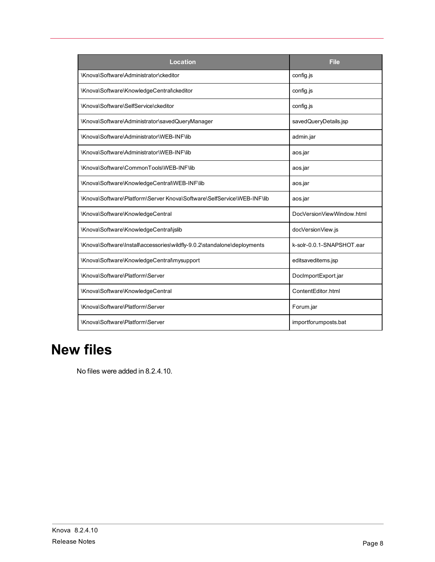| Location                                                                 | <b>File</b>               |
|--------------------------------------------------------------------------|---------------------------|
| \Knova\Software\Administrator\ckeditor                                   | config.js                 |
| \Knova\Software\KnowledgeCentral\ckeditor                                | config.js                 |
| \Knova\Software\SelfService\ckeditor                                     | config.js                 |
| \Knova\Software\Administrator\savedQueryManager                          | savedQueryDetails.jsp     |
| \Knova\Software\Administrator\WEB-INF\lib                                | admin.jar                 |
| \Knova\Software\Administrator\WEB-INF\lib                                | aos.jar                   |
| \Knova\Software\CommonTools\WEB-INF\lib                                  | aos.jar                   |
| \Knova\Software\KnowledgeCentral\WEB-INF\lib                             | aos.jar                   |
| \Knova\Software\Platform\Server Knova\Software\SelfService\WEB-INF\lib   | aos.jar                   |
| \Knova\Software\KnowledgeCentral                                         | DocVersionViewWindow.html |
| \Knova\Software\KnowledgeCentral\jslib                                   | docVersionView.js         |
| \Knova\Software\Install\accessories\wildfly-9.0.2\standalone\deployments | k-solr-0.0.1-SNAPSHOT.ear |
| \Knova\Software\KnowledgeCentral\mysupport                               | editsaveditems.jsp        |
| \Knova\Software\Platform\Server                                          | DocImportExport.jar       |
| \Knova\Software\KnowledgeCentral                                         | ContentEditor.html        |
| \Knova\Software\Platform\Server                                          | Forum.jar                 |
| \Knova\Software\Platform\Server                                          | importforumposts.bat      |

## <span id="page-11-0"></span>**New files**

No files were added in 8.2.4.10.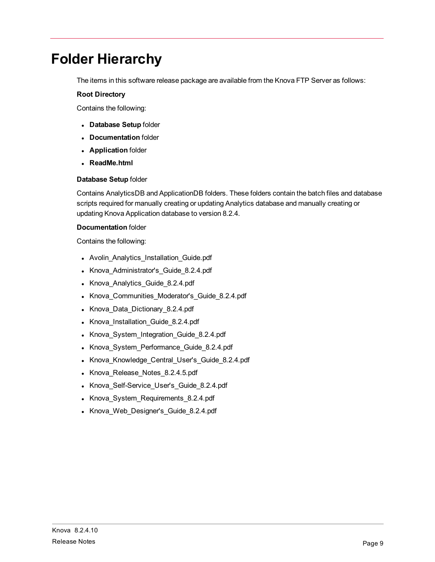## <span id="page-12-0"></span>**Folder Hierarchy**

The items in this software release package are available from the Knova FTP Server as follows:

#### **Root Directory**

Contains the following:

- <sup>l</sup> **Database Setup** folder
- **Documentation** folder
- **Application** folder
- <sup>l</sup> **ReadMe.html**

#### **Database Setup** folder

Contains AnalyticsDB and ApplicationDB folders. These folders contain the batch files and database scripts required for manually creating or updating Analytics database and manually creating or updating Knova Application database to version 8.2.4.

#### **Documentation** folder

Contains the following:

- Avolin\_Analytics\_Installation\_Guide.pdf
- Knova Administrator's Guide 8.2.4.pdf
- Knova Analytics\_Guide\_8.2.4.pdf
- Knova\_Communities\_Moderator's\_Guide\_8.2.4.pdf
- Knova\_Data\_Dictionary\_8.2.4.pdf
- Knova\_Installation\_Guide\_8.2.4.pdf
- Knova\_System\_Integration\_Guide\_8.2.4.pdf
- Knova\_System\_Performance\_Guide\_8.2.4.pdf
- Knova\_Knowledge\_Central\_User's\_Guide\_8.2.4.pdf
- Knova\_Release\_Notes\_8.2.4.5.pdf
- Knova\_Self-Service\_User's\_Guide\_8.2.4.pdf
- Knova\_System\_Requirements\_8.2.4.pdf
- Knova\_Web\_Designer's\_Guide\_8.2.4.pdf